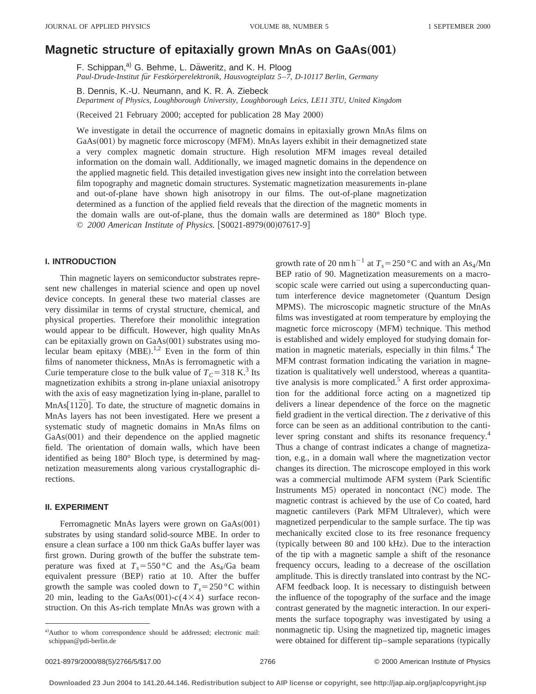# **Magnetic structure of epitaxially grown MnAs on GaAs(001)**

F. Schippan,<sup>a)</sup> G. Behme, L. Däweritz, and K. H. Ploog *Paul-Drude-Institut fu¨r Festko¨rperelektronik, Hausvogteiplatz 5*–*7, D-10117 Berlin, Germany*

B. Dennis, K.-U. Neumann, and K. R. A. Ziebeck *Department of Physics, Loughborough University, Loughborough Leics, LE11 3TU, United Kingdom*

(Received 21 February 2000; accepted for publication 28 May 2000)

We investigate in detail the occurrence of magnetic domains in epitaxially grown MnAs films on  $GaAs(001)$  by magnetic force microscopy (MFM). MnAs layers exhibit in their demagnetized state a very complex magnetic domain structure. High resolution MFM images reveal detailed information on the domain wall. Additionally, we imaged magnetic domains in the dependence on the applied magnetic field. This detailed investigation gives new insight into the correlation between film topography and magnetic domain structures. Systematic magnetization measurements in-plane and out-of-plane have shown high anisotropy in our films. The out-of-plane magnetization determined as a function of the applied field reveals that the direction of the magnetic moments in the domain walls are out-of-plane, thus the domain walls are determined as 180° Bloch type. © 2000 American Institute of Physics. [S0021-8979(00)07617-9]

## **I. INTRODUCTION**

Thin magnetic layers on semiconductor substrates represent new challenges in material science and open up novel device concepts. In general these two material classes are very dissimilar in terms of crystal structure, chemical, and physical properties. Therefore their monolithic integration would appear to be difficult. However, high quality MnAs can be epitaxially grown on GaAs(001) substrates using molecular beam epitaxy  $(MBE)$ .<sup>1,2</sup> Even in the form of thin films of nanometer thickness, MnAs is ferromagnetic with a Curie temperature close to the bulk value of  $T_c = 318 \text{ K}^3$  Its magnetization exhibits a strong in-plane uniaxial anisotropy with the axis of easy magnetization lying in-plane, parallel to MnAs[112<sup>o]</sup>. To date, the structure of magnetic domains in MnAs layers has not been investigated. Here we present a systematic study of magnetic domains in MnAs films on  $GaAs(001)$  and their dependence on the applied magnetic field. The orientation of domain walls, which have been identified as being 180° Bloch type, is determined by magnetization measurements along various crystallographic directions.

#### **II. EXPERIMENT**

Ferromagnetic MnAs layers were grown on  $GaAs(001)$ substrates by using standard solid-source MBE. In order to ensure a clean surface a 100 nm thick GaAs buffer layer was first grown. During growth of the buffer the substrate temperature was fixed at  $T_s = 550$  °C and the As<sub>4</sub>/Ga beam equivalent pressure (BEP) ratio at 10. After the buffer growth the sample was cooled down to  $T_s = 250$  °C within 20 min, leading to the GaAs(001)- $c$ (4×4) surface reconstruction. On this As-rich template MnAs was grown with a growth rate of 20 nm h<sup>-1</sup> at  $T_s = 250$  °C and with an As<sub>4</sub>/Mn BEP ratio of 90. Magnetization measurements on a macroscopic scale were carried out using a superconducting quantum interference device magnetometer (Quantum Design MPMS). The microscopic magnetic structure of the MnAs films was investigated at room temperature by employing the magnetic force microscopy (MFM) technique. This method is established and widely employed for studying domain formation in magnetic materials, especially in thin films.<sup>4</sup> The MFM contrast formation indicating the variation in magnetization is qualitatively well understood, whereas a quantitative analysis is more complicated.<sup>5</sup> A first order approximation for the additional force acting on a magnetized tip delivers a linear dependence of the force on the magnetic field gradient in the vertical direction. The *z* derivative of this force can be seen as an additional contribution to the cantilever spring constant and shifts its resonance frequency.<sup>4</sup> Thus a change of contrast indicates a change of magnetization, e.g., in a domain wall where the magnetization vector changes its direction. The microscope employed in this work was a commercial multimode AFM system (Park Scientific Instruments  $M5$ ) operated in noncontact  $(NC)$  mode. The magnetic contrast is achieved by the use of Co coated, hard magnetic cantilevers (Park MFM Ultralever), which were magnetized perpendicular to the sample surface. The tip was mechanically excited close to its free resonance frequency (typically between 80 and 100 kHz). Due to the interaction of the tip with a magnetic sample a shift of the resonance frequency occurs, leading to a decrease of the oscillation amplitude. This is directly translated into contrast by the NC-AFM feedback loop. It is necessary to distinguish between the influence of the topography of the surface and the image contrast generated by the magnetic interaction. In our experiments the surface topography was investigated by using a nonmagnetic tip. Using the magnetized tip, magnetic images were obtained for different tip–sample separations (typically

a)Author to whom correspondence should be addressed; electronic mail: schippan@pdi-berlin.de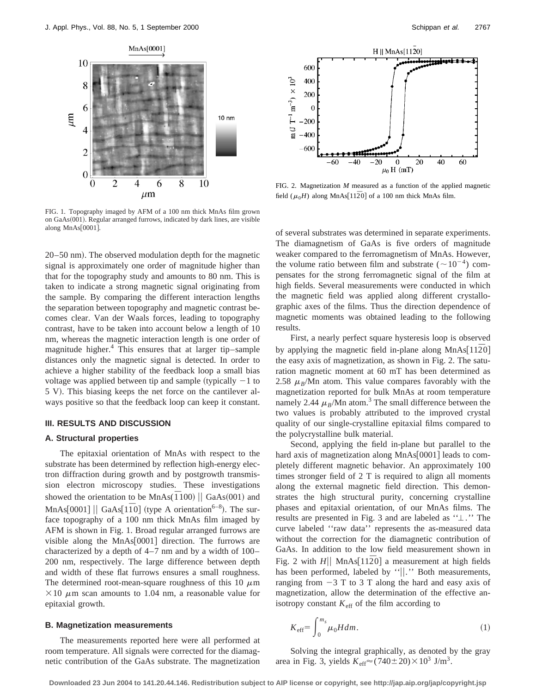

FIG. 1. Topography imaged by AFM of a 100 nm thick MnAs film grown on  $GaAs(001)$ . Regular arranged furrows, indicated by dark lines, are visible along MnAs[0001].

20–50 nm). The observed modulation depth for the magnetic signal is approximately one order of magnitude higher than that for the topography study and amounts to 80 nm. This is taken to indicate a strong magnetic signal originating from the sample. By comparing the different interaction lengths the separation between topography and magnetic contrast becomes clear. Van der Waals forces, leading to topography contrast, have to be taken into account below a length of 10 nm, whereas the magnetic interaction length is one order of magnitude higher. $4$  This ensures that at larger tip–sample distances only the magnetic signal is detected. In order to achieve a higher stability of the feedback loop a small bias voltage was applied between tip and sample (typically  $-1$  to 5 V). This biasing keeps the net force on the cantilever always positive so that the feedback loop can keep it constant.

## **III. RESULTS AND DISCUSSION**

### **A. Structural properties**

The epitaxial orientation of MnAs with respect to the substrate has been determined by reflection high-energy electron diffraction during growth and by postgrowth transmission electron microscopy studies. These investigations showed the orientation to be MnAs( $\overline{1}100$ ) || GaAs(001) and MnAs $[0001]$  || GaAs $[1\overline{1}0]$  (type A orientation<sup>6–8</sup>). The surface topography of a 100 nm thick MnAs film imaged by AFM is shown in Fig. 1. Broad regular arranged furrows are visible along the MnAs $[0001]$  direction. The furrows are characterized by a depth of 4–7 nm and by a width of 100– 200 nm, respectively. The large difference between depth and width of these flat furrows ensures a small roughness. The determined root-mean-square roughness of this 10  $\mu$ m  $\times$ 10  $\mu$ m scan amounts to 1.04 nm, a reasonable value for epitaxial growth.

#### **B. Magnetization measurements**

The measurements reported here were all performed at room temperature. All signals were corrected for the diamagnetic contribution of the GaAs substrate. The magnetization



FIG. 2. Magnetization *M* measured as a function of the applied magnetic field ( $\mu_0$ *H*) along MnAs<sup>[112 $\overline{2}0$ ] of a 100 nm thick MnAs film.</sup>

of several substrates was determined in separate experiments. The diamagnetism of GaAs is five orders of magnitude weaker compared to the ferromagnetism of MnAs. However, the volume ratio between film and substrate ( $\sim 10^{-4}$ ) compensates for the strong ferromagnetic signal of the film at high fields. Several measurements were conducted in which the magnetic field was applied along different crystallographic axes of the films. Thus the direction dependence of magnetic moments was obtained leading to the following results.

First, a nearly perfect square hysteresis loop is observed by applying the magnetic field in-plane along MnAs $[11\overline{2}0]$ the easy axis of magnetization, as shown in Fig. 2. The saturation magnetic moment at 60 mT has been determined as 2.58  $\mu_B$ /Mn atom. This value compares favorably with the magnetization reported for bulk MnAs at room temperature namely 2.44  $\mu_B$ /Mn atom.<sup>3</sup> The small difference between the two values is probably attributed to the improved crystal quality of our single-crystalline epitaxial films compared to the polycrystalline bulk material.

Second, applying the field in-plane but parallel to the hard axis of magnetization along  $MnAs[0001]$  leads to completely different magnetic behavior. An approximately 100 times stronger field of 2 T is required to align all moments along the external magnetic field direction. This demonstrates the high structural purity, concerning crystalline phases and epitaxial orientation, of our MnAs films. The results are presented in Fig. 3 and are labeled as  $"L."$  The curve labeled ''raw data'' represents the as-measured data without the correction for the diamagnetic contribution of GaAs. In addition to the low field measurement shown in Fig. 2 with  $H||$  MnAs[112<sup> $\overline{2}0$ ] a measurement at high fields</sup> has been performed, labeled by " $\vert \vert$ ." Both measurements, ranging from  $-3$  T to 3 T along the hard and easy axis of magnetization, allow the determination of the effective anisotropy constant  $K_{\text{eff}}$  of the film according to

$$
K_{\rm eff} = \int_0^{m_s} \mu_0 H dm. \tag{1}
$$

Solving the integral graphically, as denoted by the gray area in Fig. 3, yields  $K_{\text{eff}} \approx (740 \pm 20) \times 10^3 \text{ J/m}^3$ .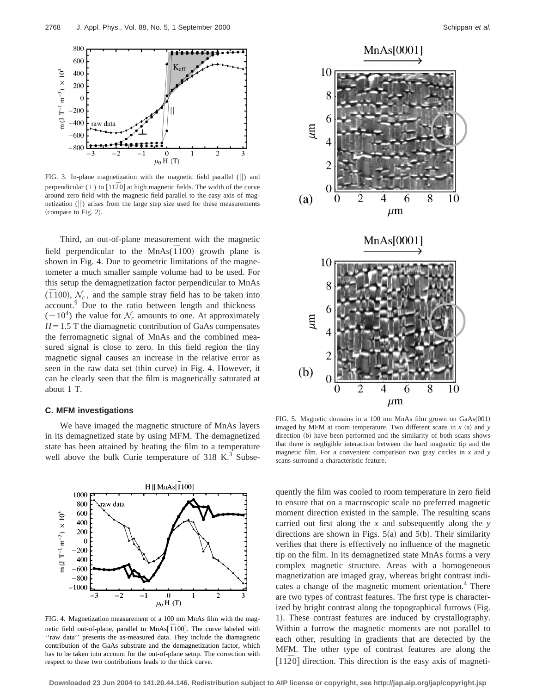

FIG. 3. In-plane magnetization with the magnetic field parallel  $(||)$  and perpendicular  $(\perp)$  to  $[11\overline{2}0]$  at high magnetic fields. The width of the curve around zero field with the magnetic field parallel to the easy axis of magnetization  $(||)$  arises from the large step size used for these measurements  $(compare to Fig. 2).$ 

Third, an out-of-plane measurement with the magnetic field perpendicular to the MnAs( $\overline{1}100$ ) growth plane is shown in Fig. 4. Due to geometric limitations of the magnetometer a much smaller sample volume had to be used. For this setup the demagnetization factor perpendicular to MnAs  $(\overline{1}100)$ ,  $\mathcal{N}_c$ , and the sample stray field has to be taken into account.<sup>9</sup> Due to the ratio between length and thickness  $({\sim}10^4)$  the value for  $\mathcal{N}_c$  amounts to one. At approximately  $H=1.5$  T the diamagnetic contribution of GaAs compensates the ferromagnetic signal of MnAs and the combined measured signal is close to zero. In this field region the tiny magnetic signal causes an increase in the relative error as seen in the raw data set (thin curve) in Fig. 4. However, it can be clearly seen that the film is magnetically saturated at about 1 T.

## **C. MFM investigations**

We have imaged the magnetic structure of MnAs layers in its demagnetized state by using MFM. The demagnetized state has been attained by heating the film to a temperature well above the bulk Curie temperature of  $318$  K.<sup>3</sup> Subse-



FIG. 4. Magnetization measurement of a 100 nm MnAs film with the magnetic field out-of-plane, parallel to MnAs<sup>[</sup>  $\overline{1}$  100]. The curve labeled with ''raw data'' presents the as-measured data. They include the diamagnetic contribution of the GaAs substrate and the demagnetization factor, which has to be taken into account for the out-of-plane setup. The correction with respect to these two contributions leads to the thick curve.



FIG. 5. Magnetic domains in a 100 nm MnAs film grown on  $GaAs(001)$ imaged by MFM at room temperature. Two different scans in  $x$  (a) and  $y$ direction (b) have been performed and the similarity of both scans shows that there is negligible interaction between the hard magnetic tip and the magnetic film. For a convenient comparison two gray circles in *x* and *y* scans surround a characteristic feature.

quently the film was cooled to room temperature in zero field to ensure that on a macroscopic scale no preferred magnetic moment direction existed in the sample. The resulting scans carried out first along the *x* and subsequently along the *y* directions are shown in Figs.  $5(a)$  and  $5(b)$ . Their similarity verifies that there is effectively no influence of the magnetic tip on the film. In its demagnetized state MnAs forms a very complex magnetic structure. Areas with a homogeneous magnetization are imaged gray, whereas bright contrast indicates a change of the magnetic moment orientation.<sup>4</sup> There are two types of contrast features. The first type is characterized by bright contrast along the topographical furrows (Fig. 1). These contrast features are induced by crystallography. Within a furrow the magnetic moments are not parallel to each other, resulting in gradients that are detected by the MFM. The other type of contrast features are along the  $[11\overline{2}0]$  direction. This direction is the easy axis of magneti-

**Downloaded 23 Jun 2004 to 141.20.44.146. Redistribution subject to AIP license or copyright, see http://jap.aip.org/jap/copyright.jsp**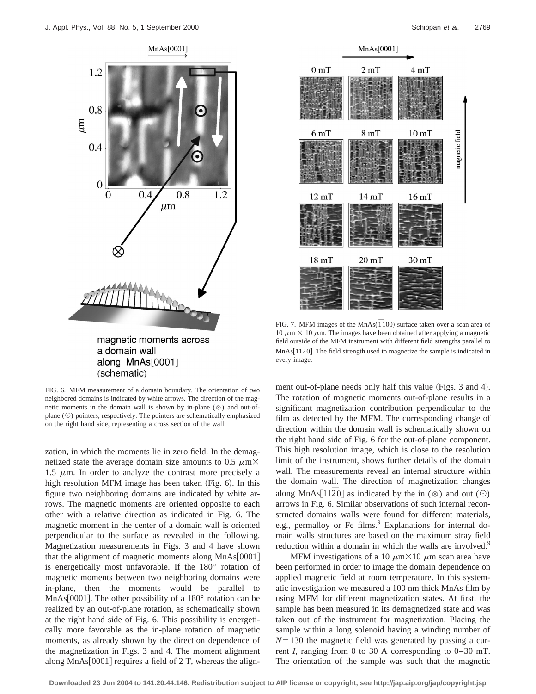1.2

0.8

0.4

 $\overline{0}$ 

 $\mu$ m



magnetic moments across a domain wall along MnAs[0001] (schematic)

Theodor

FIG. 6. MFM measurement of a domain boundary. The orientation of two neighbored domains is indicated by white arrows. The direction of the magnetic moments in the domain wall is shown by in-plane  $(\otimes)$  and out-ofplane  $(\odot)$  pointers, respectively. The pointers are schematically emphasized on the right hand side, representing a cross section of the wall.

zation, in which the moments lie in zero field. In the demagnetized state the average domain size amounts to 0.5  $\mu$ m $\times$ 1.5  $\mu$ m. In order to analyze the contrast more precisely a high resolution MFM image has been taken  $(Fig. 6)$ . In this figure two neighboring domains are indicated by white arrows. The magnetic moments are oriented opposite to each other with a relative direction as indicated in Fig. 6. The magnetic moment in the center of a domain wall is oriented perpendicular to the surface as revealed in the following. Magnetization measurements in Figs. 3 and 4 have shown that the alignment of magnetic moments along  $MnAs[0001]$ is energetically most unfavorable. If the 180° rotation of magnetic moments between two neighboring domains were in-plane, then the moments would be parallel to MnAs [0001]. The other possibility of a  $180^\circ$  rotation can be realized by an out-of-plane rotation, as schematically shown at the right hand side of Fig. 6. This possibility is energetically more favorable as the in-plane rotation of magnetic moments, as already shown by the direction dependence of the magnetization in Figs. 3 and 4. The moment alignment along MnAs $[0001]$  requires a field of 2 T, whereas the align-



FIG. 7. MFM images of the MnAs( $\overline{1}100$ ) surface taken over a scan area of  $10 \mu m \times 10 \mu m$ . The images have been obtained after applying a magnetic field outside of the MFM instrument with different field strengths parallel to  $MnAs[11\overline{2}0]$ . The field strength used to magnetize the sample is indicated in every image.

ment out-of-plane needs only half this value (Figs. 3 and 4). The rotation of magnetic moments out-of-plane results in a significant magnetization contribution perpendicular to the film as detected by the MFM. The corresponding change of direction within the domain wall is schematically shown on the right hand side of Fig. 6 for the out-of-plane component. This high resolution image, which is close to the resolution limit of the instrument, shows further details of the domain wall. The measurements reveal an internal structure within the domain wall. The direction of magnetization changes along MnAs<sup>[112 $\overline{2}0$ ] as indicated by the in ( $\otimes$ ) and out ( $\odot$ )</sup> arrows in Fig. 6. Similar observations of such internal reconstructed domains walls were found for different materials, e.g., permalloy or Fe films.<sup>9</sup> Explanations for internal domain walls structures are based on the maximum stray field reduction within a domain in which the walls are involved.<sup>9</sup>

MFM investigations of a 10  $\mu$ m $\times$ 10  $\mu$ m scan area have been performed in order to image the domain dependence on applied magnetic field at room temperature. In this systematic investigation we measured a 100 nm thick MnAs film by using MFM for different magnetization states. At first, the sample has been measured in its demagnetized state and was taken out of the instrument for magnetization. Placing the sample within a long solenoid having a winding number of  $N=130$  the magnetic field was generated by passing a current *I*, ranging from 0 to 30 A corresponding to 0–30 mT. The orientation of the sample was such that the magnetic

**Downloaded 23 Jun 2004 to 141.20.44.146. Redistribution subject to AIP license or copyright, see http://jap.aip.org/jap/copyright.jsp**